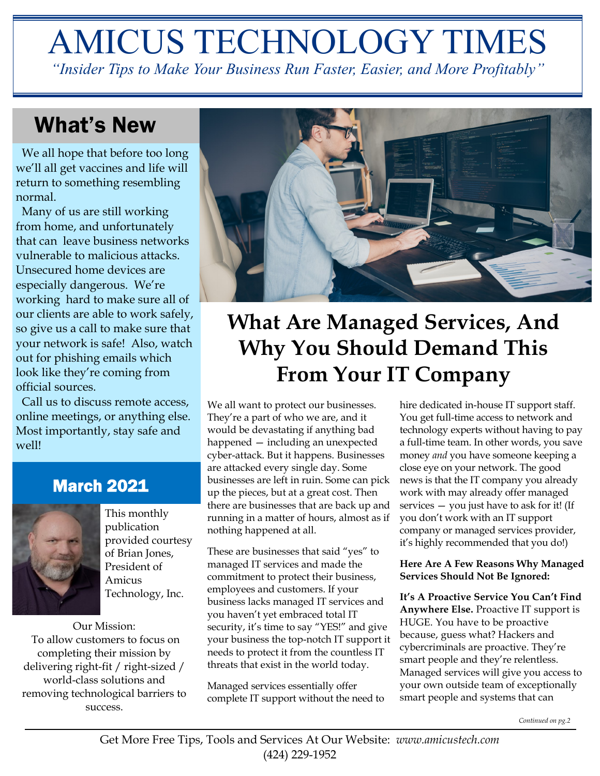# AMICUS TECHNOLOGY TIMES

*"Insider Tips to Make Your Business Run Faster, Easier, and More Profitably"*

# What's New

 We all hope that before too long we'll all get vaccines and life will return to something resembling normal.

 Many of us are still working from home, and unfortunately that can leave business networks vulnerable to malicious attacks. Unsecured home devices are especially dangerous. We're working hard to make sure all of our clients are able to work safely, so give us a call to make sure that your network is safe! Also, watch out for phishing emails which look like they're coming from official sources.

 Call us to discuss remote access, online meetings, or anything else. Most importantly, stay safe and well!

# March 2021



This monthly publication provided courtesy of Brian Jones, President of Amicus Technology, Inc.

Our Mission: To allow customers to focus on completing their mission by delivering right-fit / right-sized / world-class solutions and removing technological barriers to success.



# **What Are Managed Services, And Why You Should Demand This From Your IT Company**

We all want to protect our businesses. They're a part of who we are, and it would be devastating if anything bad happened — including an unexpected cyber-attack. But it happens. Businesses are attacked every single day. Some businesses are left in ruin. Some can pick up the pieces, but at a great cost. Then there are businesses that are back up and running in a matter of hours, almost as if nothing happened at all.

These are businesses that said "yes" to managed IT services and made the commitment to protect their business, employees and customers. If your business lacks managed IT services and you haven't yet embraced total IT security, it's time to say "YES!" and give your business the top-notch IT support it needs to protect it from the countless IT threats that exist in the world today.

Managed services essentially offer complete IT support without the need to

hire dedicated in-house IT support staff. You get full-time access to network and technology experts without having to pay a full-time team. In other words, you save money *and* you have someone keeping a close eye on your network. The good news is that the IT company you already work with may already offer managed services  $-$  you just have to ask for it! (If you don't work with an IT support company or managed services provider, it's highly recommended that you do!)

#### **Here Are A Few Reasons Why Managed Services Should Not Be Ignored:**

**It's A Proactive Service You Can't Find Anywhere Else.** Proactive IT support is HUGE. You have to be proactive because, guess what? Hackers and cybercriminals are proactive. They're smart people and they're relentless. Managed services will give you access to your own outside team of exceptionally smart people and systems that can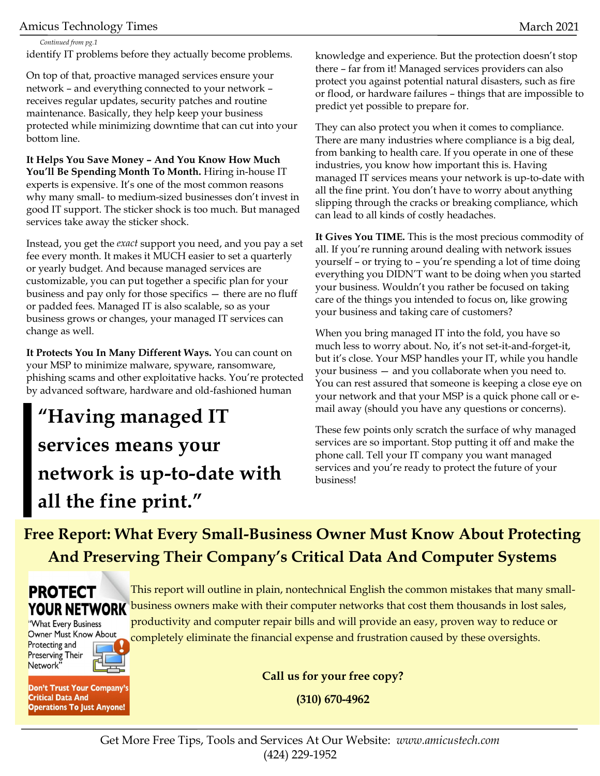#### Amicus Technology Times and the control of the control of the control of the control of the control of the control of the control of the control of the control of the control of the control of the control of the control of

*Continued from pg.1*

identify IT problems before they actually become problems.

On top of that, proactive managed services ensure your network – and everything connected to your network – receives regular updates, security patches and routine maintenance. Basically, they help keep your business protected while minimizing downtime that can cut into your bottom line.

**It Helps You Save Money – And You Know How Much You'll Be Spending Month To Month.** Hiring in-house IT experts is expensive. It's one of the most common reasons why many small- to medium-sized businesses don't invest in good IT support. The sticker shock is too much. But managed services take away the sticker shock.

Instead, you get the *exact* support you need, and you pay a set fee every month. It makes it MUCH easier to set a quarterly or yearly budget. And because managed services are customizable, you can put together a specific plan for your business and pay only for those specifics — there are no fluff or padded fees. Managed IT is also scalable, so as your business grows or changes, your managed IT services can change as well.

**It Protects You In Many Different Ways.** You can count on your MSP to minimize malware, spyware, ransomware, phishing scams and other exploitative hacks. You're protected by advanced software, hardware and old-fashioned human

# **"Having managed IT services means your network is up-to-date with all the fine print."**

knowledge and experience. But the protection doesn't stop there – far from it! Managed services providers can also protect you against potential natural disasters, such as fire or flood, or hardware failures – things that are impossible to predict yet possible to prepare for.

They can also protect you when it comes to compliance. There are many industries where compliance is a big deal, from banking to health care. If you operate in one of these industries, you know how important this is. Having managed IT services means your network is up-to-date with all the fine print. You don't have to worry about anything slipping through the cracks or breaking compliance, which can lead to all kinds of costly headaches.

**It Gives You TIME.** This is the most precious commodity of all. If you're running around dealing with network issues yourself – or trying to – you're spending a lot of time doing everything you DIDN'T want to be doing when you started your business. Wouldn't you rather be focused on taking care of the things you intended to focus on, like growing your business and taking care of customers?

When you bring managed IT into the fold, you have so much less to worry about. No, it's not set-it-and-forget-it, but it's close. Your MSP handles your IT, while you handle your business — and you collaborate when you need to. You can rest assured that someone is keeping a close eye on your network and that your MSP is a quick phone call or email away (should you have any questions or concerns).

These few points only scratch the surface of why managed services are so important. Stop putting it off and make the phone call. Tell your IT company you want managed services and you're ready to protect the future of your business!

**Free Report: What Every Small-Business Owner Must Know About Protecting And Preserving Their Company's Critical Data And Computer Systems**



"What Every Business Owner Must Know About Protecting and **Preserving Their** Network"

Don't Trust Your Company's **Critical Data And Operations To Just Anyone!** 

This report will outline in plain, nontechnical English the common mistakes that many smallbusiness owners make with their computer networks that cost them thousands in lost sales, productivity and computer repair bills and will provide an easy, proven way to reduce or completely eliminate the financial expense and frustration caused by these oversights.

**Call us for your free copy?**

**(310) 670-4962**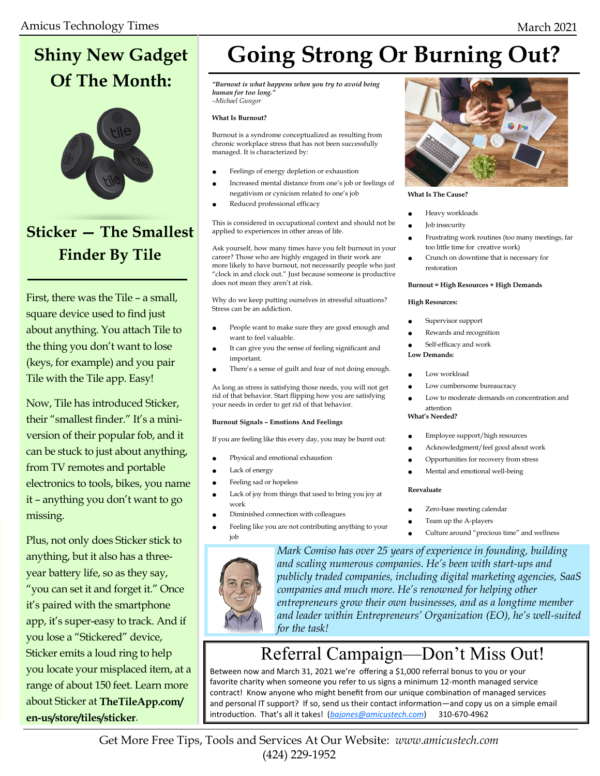# **Shiny New Gadget Of The Month:**



# **Sticker — The Smallest Finder By Tile**

First, there was the Tile – a small, square device used to find just about anything. You attach Tile to the thing you don't want to lose (keys, for example) and you pair Tile with the Tile app. Easy!

Now, Tile has introduced Sticker, their "smallest finder." It's a miniversion of their popular fob, and it can be stuck to just about anything, from TV remotes and portable electronics to tools, bikes, you name it – anything you don't want to go missing.

Plus, not only does Sticker stick to anything, but it also has a threeyear battery life, so as they say, "you can set it and forget it." Once it's paired with the smartphone app, it's super-easy to track. And if you lose a "Stickered" device, Sticker emits a loud ring to help you locate your misplaced item, at a range of about 150 feet. Learn more about Sticker at **TheTileApp.com/ en-us/store/tiles/sticker**.

# **Going Strong Or Burning Out?**

*"Burnout is what happens when you try to avoid being human for too long." –Michael Gungor*

#### **What Is Burnout?**

Burnout is a syndrome conceptualized as resulting from chronic workplace stress that has not been successfully managed. It is characterized by:

- Feelings of energy depletion or exhaustion
- Increased mental distance from one's job or feelings of negativism or cynicism related to one's job
- Reduced professional efficacy

This is considered in occupational context and should not be applied to experiences in other areas of life.

Ask yourself, how many times have you felt burnout in your career? Those who are highly engaged in their work are more likely to have burnout, not necessarily people who just "clock in and clock out." Just because someone is productive does not mean they aren't at risk.

Why do we keep putting ourselves in stressful situations? Stress can be an addiction.

- People want to make sure they are good enough and want to feel valuable.
- It can give you the sense of feeling significant and important.
- There's a sense of guilt and fear of not doing enough.

As long as stress is satisfying those needs, you will not get rid of that behavior. Start flipping how you are satisfying your needs in order to get rid of that behavior.

#### **Burnout Signals – Emotions And Feelings**

If you are feeling like this every day, you may be burnt out:

- Physical and emotional exhaustion
- Lack of energy
- Feeling sad or hopeless
- Lack of joy from things that used to bring you joy at work
- Diminished connection with colleagues
- Feeling like you are not contributing anything to your job



*Mark Comiso has over 25 years of experience in founding, building and scaling numerous companies. He's been with start-ups and publicly traded companies, including digital marketing agencies, SaaS companies and much more. He's renowned for helping other entrepreneurs grow their own businesses, and as a longtime member and leader within Entrepreneurs' Organization (EO), he's well-suited for the task!* 

# Referral Campaign—Don't Miss Out!

Between now and March 31, 2021 we're offering a \$1,000 referral bonus to you or your favorite charity when someone you refer to us signs a minimum 12-month managed service contract! Know anyone who might benefit from our unique combination of managed services and personal IT support? If so, send us their contact information—and copy us on a simple email introduction. That's all it takes! (*[bajones@amicustech.com](mailto:bajones@amicustech.com?subject=I%20hav%20a%20referral%20for%20you!)*) 310-670-4962



**What Is The Cause?**

- Heavy workloads
- **Job** insecurity
- Frustrating work routines (too many meetings, far too little time for creative work)
- Crunch on downtime that is necessary for restoration

#### **Burnout = High Resources + High Demands**

#### **High Resources:**

- Supervisor support
- Rewards and recognition
- Self-efficacy and work

#### **Low Demands:**

- Low workload
- Low cumbersome bureaucracy
- Low to moderate demands on concentration and attention
- **What's Needed?**
- Employee support/high resources
- Acknowledgment/feel good about work
- Opportunities for recovery from stress
- Mental and emotional well-being

#### **Reevaluate**

- Zero-base meeting calendar
- Team up the A-players
	- Culture around "precious time" and wellness